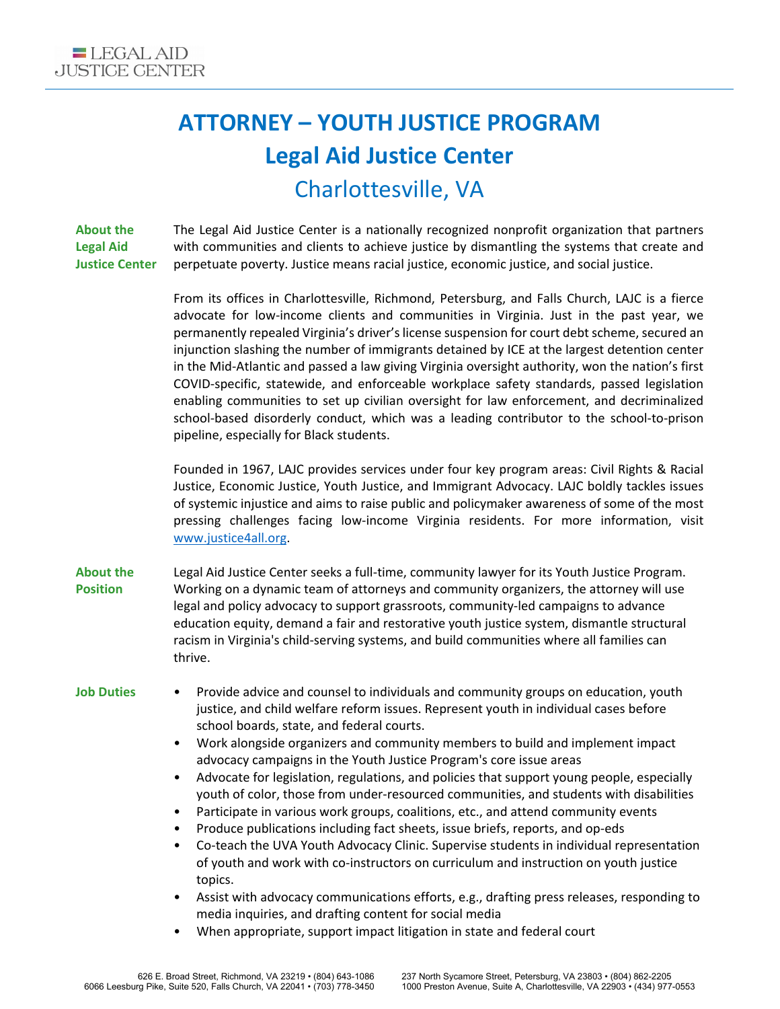## **ATTORNEY – YOUTH JUSTICE PROGRAM Legal Aid Justice Center** Charlottesville, VA

**About the Legal Aid Justice Center** The Legal Aid Justice Center is a nationally recognized nonprofit organization that partners with communities and clients to achieve justice by dismantling the systems that create and perpetuate poverty. Justice means racial justice, economic justice, and social justice.

> From its offices in Charlottesville, Richmond, Petersburg, and Falls Church, LAJC is a fierce advocate for low-income clients and communities in Virginia. Just in the past year, we permanently repealed Virginia's driver's license suspension for court debt scheme, secured an injunction slashing the number of immigrants detained by ICE at the largest detention center in the Mid-Atlantic and passed a law giving Virginia oversight authority, won the nation's first COVID-specific, statewide, and enforceable workplace safety standards, passed legislation enabling communities to set up civilian oversight for law enforcement, and decriminalized school-based disorderly conduct, which was a leading contributor to the school-to-prison pipeline, especially for Black students.

> Founded in 1967, LAJC provides services under four key program areas: Civil Rights & Racial Justice, Economic Justice, Youth Justice, and Immigrant Advocacy. LAJC boldly tackles issues of systemic injustice and aims to raise public and policymaker awareness of some of the most pressing challenges facing low-income Virginia residents. For more information, visit [www.justice4all.org.](http://www.justice4all.org/)

**About the Position** Legal Aid Justice Center seeks a full-time, community lawyer for its Youth Justice Program. Working on a dynamic team of attorneys and community organizers, the attorney will use legal and policy advocacy to support grassroots, community-led campaigns to advance education equity, demand a fair and restorative youth justice system, dismantle structural racism in Virginia's child-serving systems, and build communities where all families can thrive.

- **Job Duties** Provide advice and counsel to individuals and community groups on education, youth justice, and child welfare reform issues. Represent youth in individual cases before school boards, state, and federal courts.
	- Work alongside organizers and community members to build and implement impact advocacy campaigns in the Youth Justice Program's core issue areas
	- Advocate for legislation, regulations, and policies that support young people, especially youth of color, those from under-resourced communities, and students with disabilities
	- Participate in various work groups, coalitions, etc., and attend community events
	- Produce publications including fact sheets, issue briefs, reports, and op-eds
	- Co-teach the UVA Youth Advocacy Clinic. Supervise students in individual representation of youth and work with co-instructors on curriculum and instruction on youth justice topics.
	- Assist with advocacy communications efforts, e.g., drafting press releases, responding to media inquiries, and drafting content for social media
	- When appropriate, support impact litigation in state and federal court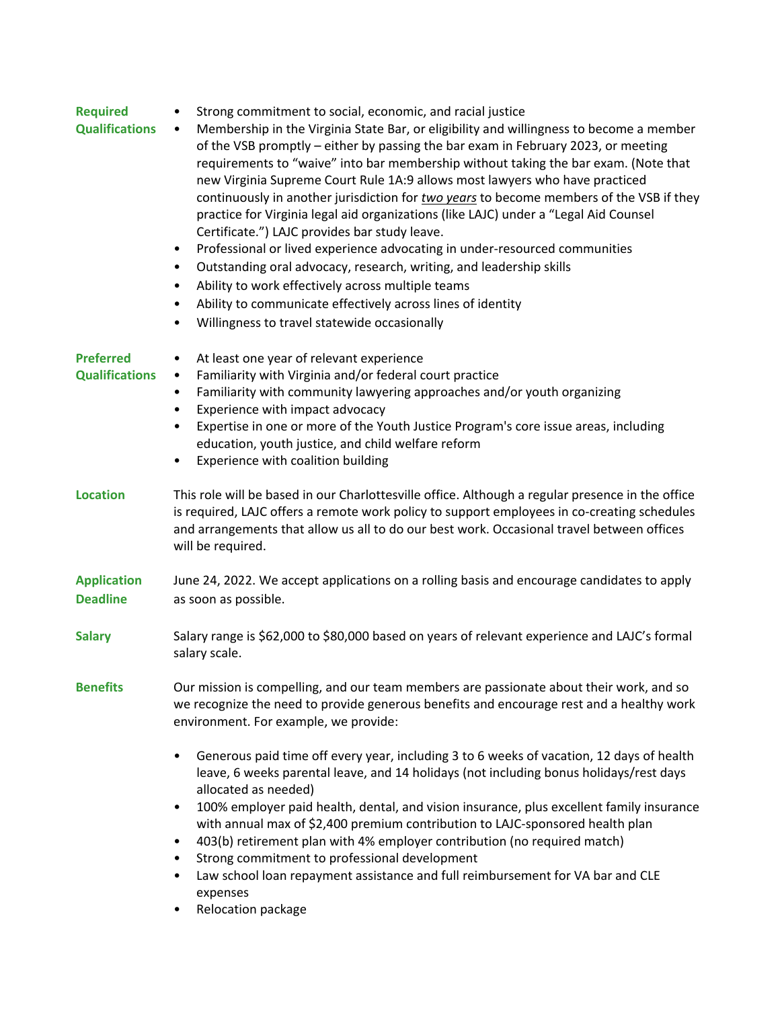| <b>Required</b><br><b>Qualifications</b>  | Strong commitment to social, economic, and racial justice<br>$\bullet$<br>Membership in the Virginia State Bar, or eligibility and willingness to become a member<br>$\bullet$<br>of the VSB promptly - either by passing the bar exam in February 2023, or meeting<br>requirements to "waive" into bar membership without taking the bar exam. (Note that<br>new Virginia Supreme Court Rule 1A:9 allows most lawyers who have practiced<br>continuously in another jurisdiction for two years to become members of the VSB if they<br>practice for Virginia legal aid organizations (like LAJC) under a "Legal Aid Counsel<br>Certificate.") LAJC provides bar study leave.<br>Professional or lived experience advocating in under-resourced communities<br>$\bullet$<br>Outstanding oral advocacy, research, writing, and leadership skills<br>$\bullet$<br>Ability to work effectively across multiple teams<br>$\bullet$<br>Ability to communicate effectively across lines of identity<br>$\bullet$<br>Willingness to travel statewide occasionally<br>$\bullet$ |
|-------------------------------------------|-------------------------------------------------------------------------------------------------------------------------------------------------------------------------------------------------------------------------------------------------------------------------------------------------------------------------------------------------------------------------------------------------------------------------------------------------------------------------------------------------------------------------------------------------------------------------------------------------------------------------------------------------------------------------------------------------------------------------------------------------------------------------------------------------------------------------------------------------------------------------------------------------------------------------------------------------------------------------------------------------------------------------------------------------------------------------|
| <b>Preferred</b><br><b>Qualifications</b> | At least one year of relevant experience<br>٠<br>Familiarity with Virginia and/or federal court practice<br>٠<br>Familiarity with community lawyering approaches and/or youth organizing<br>$\bullet$<br>Experience with impact advocacy<br>$\bullet$<br>Expertise in one or more of the Youth Justice Program's core issue areas, including<br>$\bullet$<br>education, youth justice, and child welfare reform<br>Experience with coalition building<br>$\bullet$                                                                                                                                                                                                                                                                                                                                                                                                                                                                                                                                                                                                      |
| <b>Location</b>                           | This role will be based in our Charlottesville office. Although a regular presence in the office<br>is required, LAJC offers a remote work policy to support employees in co-creating schedules<br>and arrangements that allow us all to do our best work. Occasional travel between offices<br>will be required.                                                                                                                                                                                                                                                                                                                                                                                                                                                                                                                                                                                                                                                                                                                                                       |
| <b>Application</b><br><b>Deadline</b>     | June 24, 2022. We accept applications on a rolling basis and encourage candidates to apply<br>as soon as possible.                                                                                                                                                                                                                                                                                                                                                                                                                                                                                                                                                                                                                                                                                                                                                                                                                                                                                                                                                      |
| <b>Salary</b>                             | Salary range is \$62,000 to \$80,000 based on years of relevant experience and LAJC's formal<br>salary scale.                                                                                                                                                                                                                                                                                                                                                                                                                                                                                                                                                                                                                                                                                                                                                                                                                                                                                                                                                           |
| <b>Benefits</b>                           | Our mission is compelling, and our team members are passionate about their work, and so<br>we recognize the need to provide generous benefits and encourage rest and a healthy work<br>environment. For example, we provide:                                                                                                                                                                                                                                                                                                                                                                                                                                                                                                                                                                                                                                                                                                                                                                                                                                            |
|                                           | Generous paid time off every year, including 3 to 6 weeks of vacation, 12 days of health<br>leave, 6 weeks parental leave, and 14 holidays (not including bonus holidays/rest days<br>allocated as needed)<br>100% employer paid health, dental, and vision insurance, plus excellent family insurance<br>$\bullet$<br>with annual max of \$2,400 premium contribution to LAJC-sponsored health plan<br>403(b) retirement plan with 4% employer contribution (no required match)<br>٠<br>Strong commitment to professional development<br>٠<br>Law school loan repayment assistance and full reimbursement for VA bar and CLE<br>٠<br>expenses<br>Relocation package                                                                                                                                                                                                                                                                                                                                                                                                    |